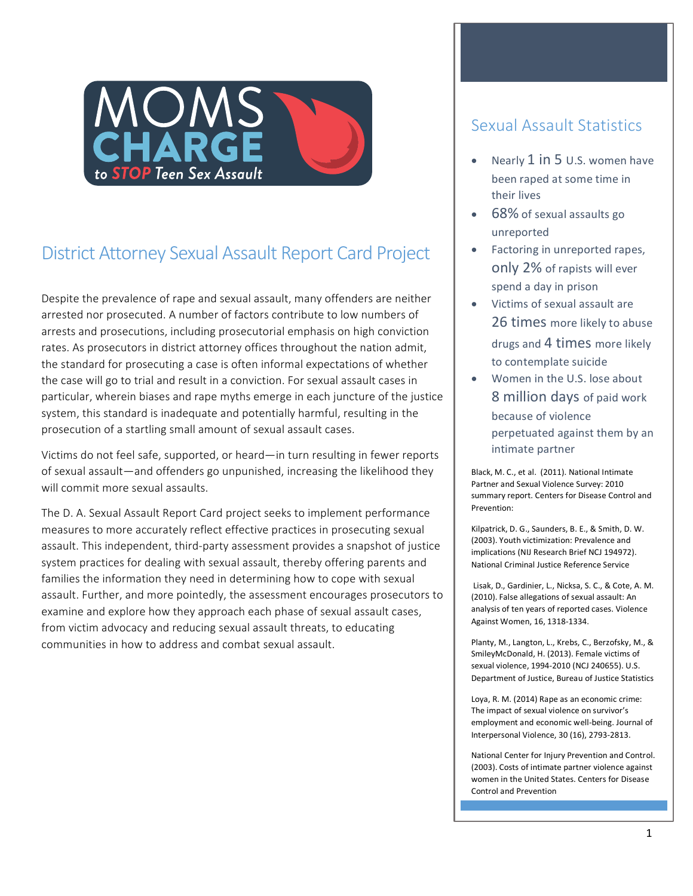

# District Attorney Sexual Assault Report Card Project

Despite the prevalence of rape and sexual assault, many offenders are neither arrested nor prosecuted. A number of factors contribute to low numbers of arrests and prosecutions, including prosecutorial emphasis on high conviction rates. As prosecutors in district attorney offices throughout the nation admit, the standard for prosecuting a case is often informal expectations of whether the case will go to trial and result in a conviction. For sexual assault cases in particular, wherein biases and rape myths emerge in each juncture of the justice system, this standard is inadequate and potentially harmful, resulting in the prosecution of a startling small amount of sexual assault cases.

Victims do not feel safe, supported, or heard—in turn resulting in fewer reports of sexual assault—and offenders go unpunished, increasing the likelihood they will commit more sexual assaults.

The D. A. Sexual Assault Report Card project seeks to implement performance measures to more accurately reflect effective practices in prosecuting sexual assault. This independent, third-party assessment provides a snapshot of justice system practices for dealing with sexual assault, thereby offering parents and families the information they need in determining how to cope with sexual assault. Further, and more pointedly, the assessment encourages prosecutors to examine and explore how they approach each phase of sexual assault cases, from victim advocacy and reducing sexual assault threats, to educating communities in how to address and combat sexual assault.

# Sexual Assault Statistics

- Nearly  $1$  in  $5$  U.S. women have been raped at some time in their lives
- 68% of sexual assaults go unreported
- Factoring in unreported rapes, only 2% of rapists will ever spend a day in prison
- Victims of sexual assault are 26 times more likely to abuse drugs and 4 times more likely to contemplate suicide
- Women in the U.S. lose about **8** million days of paid work because of violence perpetuated against them by an intimate partner

Black, M. C., et al. (2011). National Intimate Partner and Sexual Violence Survey: 2010 summary report. Centers for Disease Control and Prevention: 

Kilpatrick, D. G., Saunders, B. E., & Smith, D. W. (2003). Youth victimization: Prevalence and implications (NIJ Research Brief NCJ 194972). National Criminal Justice Reference Service

Lisak, D., Gardinier, L., Nicksa, S. C., & Cote, A. M. (2010). False allegations of sexual assault: An analysis of ten years of reported cases. Violence Against Women, 16, 1318-1334.

Planty, M., Langton, L., Krebs, C., Berzofsky, M., & SmileyMcDonald, H. (2013). Female victims of sexual violence, 1994-2010 (NCJ 240655). U.S. Department of Justice, Bureau of Justice Statistics

Loya, R. M. (2014) Rape as an economic crime: The impact of sexual violence on survivor's employment and economic well-being. Journal of Interpersonal Violence, 30 (16), 2793-2813.

National Center for Injury Prevention and Control. (2003). Costs of intimate partner violence against women in the United States. Centers for Disease Control and Prevention